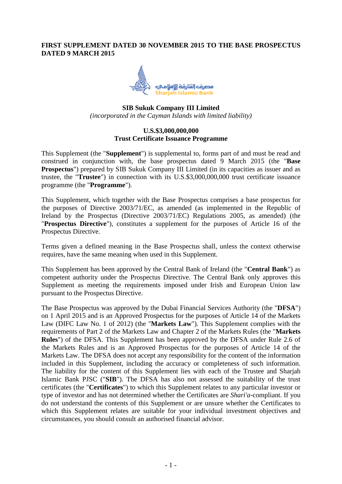## **FIRST SUPPLEMENT DATED 30 NOVEMBER 2015 TO THE BASE PROSPECTUS DATED 9 MARCH 2015**



# **SIB Sukuk Company III Limited** *(incorporated in the Cayman Islands with limited liability)*

# **U.S.\$3,000,000,000 Trust Certificate Issuance Programme**

This Supplement (the "**Supplement**") is supplemental to, forms part of and must be read and construed in conjunction with, the base prospectus dated 9 March 2015 (the "**Base Prospectus**") prepared by SIB Sukuk Company III Limited (in its capacities as issuer and as trustee, the "**Trustee**") in connection with its U.S.\$3,000,000,000 trust certificate issuance programme (the "**Programme**").

This Supplement, which together with the Base Prospectus comprises a base prospectus for the purposes of Directive 2003/71/EC, as amended (as implemented in the Republic of Ireland by the Prospectus (Directive 2003/71/EC) Regulations 2005, as amended) (the "**Prospectus Directive**"), constitutes a supplement for the purposes of Article 16 of the Prospectus Directive.

Terms given a defined meaning in the Base Prospectus shall, unless the context otherwise requires, have the same meaning when used in this Supplement.

This Supplement has been approved by the Central Bank of Ireland (the "**Central Bank**") as competent authority under the Prospectus Directive. The Central Bank only approves this Supplement as meeting the requirements imposed under Irish and European Union law pursuant to the Prospectus Directive.

The Base Prospectus was approved by the Dubai Financial Services Authority (the "**DFSA**") on 1 April 2015 and is an Approved Prospectus for the purposes of Article 14 of the Markets Law (DIFC Law No. 1 of 2012) (the "**Markets Law**"). This Supplement complies with the requirements of Part 2 of the Markets Law and Chapter 2 of the Markets Rules (the "**Markets Rules**") of the DFSA. This Supplement has been approved by the DFSA under Rule 2.6 of the Markets Rules and is an Approved Prospectus for the purposes of Article 14 of the Markets Law. The DFSA does not accept any responsibility for the content of the information included in this Supplement, including the accuracy or completeness of such information. The liability for the content of this Supplement lies with each of the Trustee and Sharjah Islamic Bank PJSC ("**SIB**"). The DFSA has also not assessed the suitability of the trust certificates (the "**Certificates**") to which this Supplement relates to any particular investor or type of investor and has not determined whether the Certificates are *Shari'a*-compliant. If you do not understand the contents of this Supplement or are unsure whether the Certificates to which this Supplement relates are suitable for your individual investment objectives and circumstances, you should consult an authorised financial advisor.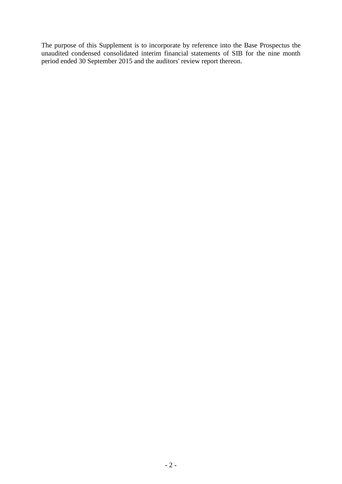The purpose of this Supplement is to incorporate by reference into the Base Prospectus the unaudited condensed consolidated interim financial statements of SIB for the nine month period ended 30 September 2015 and the auditors' review report thereon.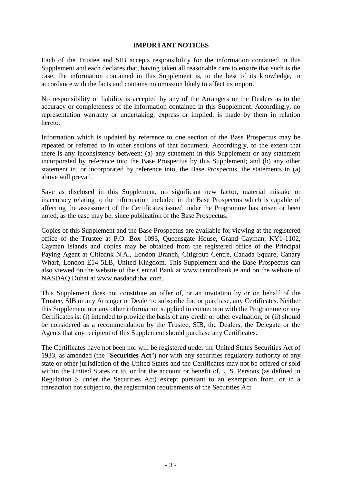#### **IMPORTANT NOTICES**

Each of the Trustee and SIB accepts responsibility for the information contained in this Supplement and each declares that, having taken all reasonable care to ensure that such is the case, the information contained in this Supplement is, to the best of its knowledge, in accordance with the facts and contains no omission likely to affect its import.

No responsibility or liability is accepted by any of the Arrangers or the Dealers as to the accuracy or completeness of the information contained in this Supplement. Accordingly, no representation warranty or undertaking, express or implied, is made by them in relation hereto.

Information which is updated by reference to one section of the Base Prospectus may be repeated or referred to in other sections of that document. Accordingly, to the extent that there is any inconsistency between: (a) any statement in this Supplement or any statement incorporated by reference into the Base Prospectus by this Supplement; and (b) any other statement in, or incorporated by reference into, the Base Prospectus, the statements in (a) above will prevail.

Save as disclosed in this Supplement, no significant new factor, material mistake or inaccuracy relating to the information included in the Base Prospectus which is capable of affecting the assessment of the Certificates issued under the Programme has arisen or been noted, as the case may be, since publication of the Base Prospectus.

Copies of this Supplement and the Base Prospectus are available for viewing at the registered office of the Trustee at P.O. Box 1093, Queensgate House, Grand Cayman, KY1-1102, Cayman Islands and copies may be obtained from the registered office of the Principal Paying Agent at Citibank N.A., London Branch, Citigroup Centre, Canada Square, Canary Wharf, London E14 5LB, United Kingdom. This Supplement and the Base Prospectus can also viewed on the website of the Central Bank at www.centralbank.ie and on the website of NASDAQ Dubai at www.nasdaqdubai.com.

This Supplement does not constitute an offer of, or an invitation by or on behalf of the Trustee, SIB or any Arranger or Dealer to subscribe for, or purchase, any Certificates. Neither this Supplement nor any other information supplied in connection with the Programme or any Certificates is: (i) intended to provide the basis of any credit or other evaluation; or (ii) should be considered as a recommendation by the Trustee, SIB, the Dealers, the Delegate or the Agents that any recipient of this Supplement should purchase any Certificates.

The Certificates have not been nor will be registered under the United States Securities Act of 1933, as amended (the "**Securities Act**") nor with any securities regulatory authority of any state or other jurisdiction of the United States and the Certificates may not be offered or sold within the United States or to, or for the account or benefit of, U.S. Persons (as defined in Regulation S under the Securities Act) except pursuant to an exemption from, or in a transaction not subject to, the registration requirements of the Securities Act.